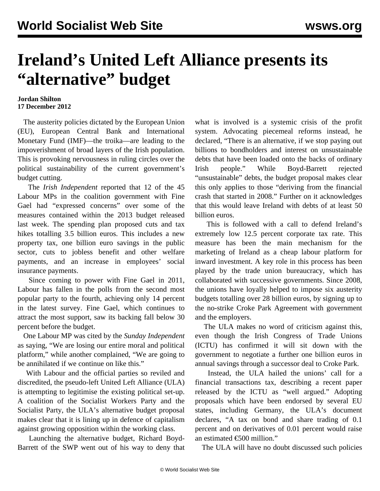## **Ireland's United Left Alliance presents its "alternative" budget**

## **Jordan Shilton 17 December 2012**

 The austerity policies dictated by the European Union (EU), European Central Bank and International Monetary Fund (IMF)—the troika—are leading to the impoverishment of broad layers of the Irish population. This is provoking nervousness in ruling circles over the political sustainability of the current government's budget cutting.

 The *Irish Independent* reported that 12 of the 45 Labour MPs in the coalition government with Fine Gael had "expressed concerns" over some of the measures contained within the 2013 budget released last week. The spending plan proposed cuts and tax hikes totalling 3.5 billion euros. This includes a new property tax, one billion euro savings in the public sector, cuts to jobless benefit and other welfare payments, and an increase in employees' social insurance payments.

 Since coming to power with Fine Gael in 2011, Labour has fallen in the polls from the second most popular party to the fourth, achieving only 14 percent in the latest survey. Fine Gael, which continues to attract the most support, saw its backing fall below 30 percent before the budget.

 One Labour MP was cited by the *Sunday Independent* as saying, "We are losing our entire moral and political platform," while another complained, "We are going to be annihilated if we continue on like this."

 With Labour and the official parties so reviled and discredited, the pseudo-left United Left Alliance (ULA) is attempting to legitimise the existing political set-up. A coalition of the Socialist Workers Party and the Socialist Party, the ULA's alternative budget proposal makes clear that it is lining up in defence of capitalism against growing opposition within the working class.

 Launching the alternative budget, Richard Boyd-Barrett of the SWP went out of his way to deny that what is involved is a systemic crisis of the profit system. Advocating piecemeal reforms instead, he declared, "There is an alternative, if we stop paying out billions to bondholders and interest on unsustainable debts that have been loaded onto the backs of ordinary Irish people." While Boyd-Barrett rejected "unsustainable" debts, the budget proposal makes clear this only applies to those "deriving from the financial crash that started in 2008." Further on it acknowledges that this would leave Ireland with debts of at least 50 billion euros.

 This is followed with a call to defend Ireland's extremely low 12.5 percent corporate tax rate. This measure has been the main mechanism for the marketing of Ireland as a cheap labour platform for inward investment. A key role in this process has been played by the trade union bureaucracy, which has collaborated with successive governments. Since 2008, the unions have loyally helped to impose six austerity budgets totalling over 28 billion euros, by signing up to the no-strike Croke Park Agreement with government and the employers.

 The ULA makes no word of criticism against this, even though the Irish Congress of Trade Unions (ICTU) has confirmed it will sit down with the government to negotiate a further one billion euros in annual savings through a successor deal to Croke Park.

 Instead, the ULA hailed the unions' call for a financial transactions tax, describing a recent paper released by the ICTU as "well argued." Adopting proposals which have been endorsed by several EU states, including Germany, the ULA's document declares, "A tax on bond and share trading of 0.1 percent and on derivatives of 0.01 percent would raise an estimated €500 million."

The ULA will have no doubt discussed such policies